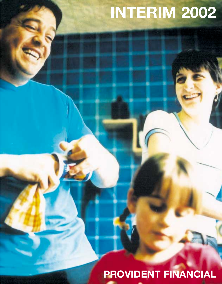# **INTERIM 2002**

**PROVIDENT FINANCIAL**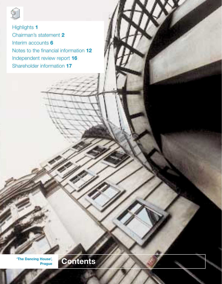

Highlights **1** Chairman's statement **2** Interim accounts **6** Notes to the financial information **12** Independent review report **16** Shareholder information **17**

**'The Dancing House',**

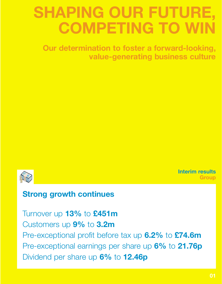## **SHAPING OUR FUTURE, COMPETING TO WII**

**Our determination to foster a forward-looking, value-generating business culture**



**Interim results Group**

## **Strong growth continues**

## Turnover up **13%** to **£451m**

Customers up **9%** to **3.2m** Pre-exceptional profit before tax up **6.2%** to **£74.6m** Pre-exceptional earnings per share up **6%** to **21.76p** Dividend per share up **6%** to **12.46p**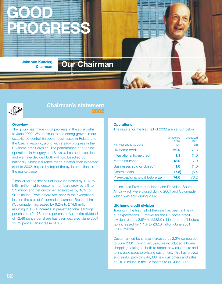



### **Chairman's statement 2002**

#### **Overview**

The group has made good progress in the six months to June 2002. We continue to see strong growth in our established central European businesses in Poland and the Czech Republic, along with steady progress in the UK home credit division. The performance of our pilot operations in Hungary and Slovakia has been excellent and we have decided both will now be rolled out nationally. Motor insurance made a better than expected start to 2002, helped by top of the cycle conditions in the marketplace.

Turnover for the first half of 2002 increased by 13% to £451 million, while customer numbers grew by 9% to 3.2 million and net customer receivables by 10% to £677 million. Profit before tax, prior to the exceptional loss on the sale of Colonnade Insurance Brokers Limited ('Colonnade'), increased by 6.2% to £74.6 million, resulting in a 6% increase in pre-exceptional earnings per share to 21.76 pence per share. An interim dividend of 12.46 pence per share has been declared (June 2001 11.75 pence), an increase of 6%.

#### **Operations**

The results for the first half of 2002 are set out below:

| Half-year ended 30 June           | Unaudited<br>2002<br>£m | Unaudited<br>2001<br>£m |
|-----------------------------------|-------------------------|-------------------------|
| UK home credit                    | 62.0                    | 61.3                    |
| International home credit         | 1.1                     | (1.6)                   |
| Motor insurance                   | 18.0                    | 17.9                    |
| Businesses sold or closed*        | 1.0                     | (1.0)                   |
| Central costs                     | (7.5)                   | (6.4)                   |
| Pre-exceptional profit before tax | 74.6                    | 70.2                    |

\* – includes Provident balance and Provident South Africa which were closed during 2001 and Colonnade which was sold during 2002.

#### **UK home credit division**

Trading in the first half of the year has been in line with our expectations. Turnover for the UK home credit division rose by 3.5% to £232.0 million and profit before tax increased by 1.1% to £62.0 million (June 2001 £61.3 million).

Customer numbers have increased by 2.2% compared to June 2001. During last year, we introduced a home shopping catalogue, both to attract new customers and to increase sales to existing customers. This has proved successful, providing 44,000 new customers and sales of £10.5 million in the 12 months to 30 June 2002.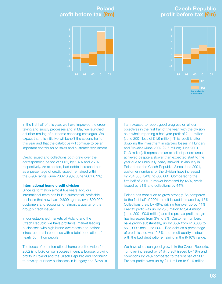## **Czech Republic profit before tax (£m)**







In the first half of this year, we have improved the ordertaking and supply processes and in May we launched a further mailing of our home shopping catalogue. We expect that this initiative will benefit the second half of this year and that the catalogue will continue to be an important contributor to sales and customer recruitment.

Credit issued and collections both grew over the corresponding period of 2001, by 1.4% and 2.7% respectively. As expected, bad debts increased but, as a percentage of credit issued, remained within the 8-9% range (June 2002 8.9%; June 2001 8.2%).

#### **International home credit division**

Since its formation almost five years ago, our international team has built a substantial, profitable business that now has 12,600 agents, over 800,000 customers and accounts for almost a quarter of the group's credit issued.

In our established markets of Poland and the Czech Republic we have profitable, market leading businesses with high brand awareness and national infrastructures in countries with a total population of nearly 50 million people.

The focus of our international home credit division for 2002 is to build on our success in central Europe, growing profits in Poland and the Czech Republic and continuing to develop our new businesses in Hungary and Slovakia.

I am pleased to report good progress on all our objectives in the first half of the year, with the division as a whole reporting a half-year profit of £1.1 million (June 2001 loss of £1.6 million). This result is after doubling the investment in start-up losses in Hungary and Slovakia (June 2002 £2.6 million; June 2001 £1.3 million). It represents an excellent performance, achieved despite a slower than expected start to the year due to unusually heavy snowfall in January in Poland and the Czech Republic. Since June 2001, customer numbers for the division have increased by 204,000 (34%) to 806,000. Compared to the first half of 2001, turnover increased by 45%, credit issued by 21% and collections by 44%.

Poland has continued to grow strongly. As compared to the first half of 2001, credit issued increased by 15%. Collections grew by 46%, driving turnover up by 44%. Pre-tax profit was up by £3.5 million to £4.4 million (June 2001 £0.9 million) and the pre-tax profit margin has increased from 3% to 9%. Customer numbers have grown substantially, up by 35% from 416,000 to 561,000 since June 2001. Bad debt as a percentage of credit issued was 9.3% and credit quality is stable with the bad debt ratio remaining in the 9-10% range.

We have also seen good growth in the Czech Republic. Turnover increased by 31%, credit issued by 18% and collections by 24% compared to the first half of 2001. Pre-tax profits were up by £1.1 million to £1.9 million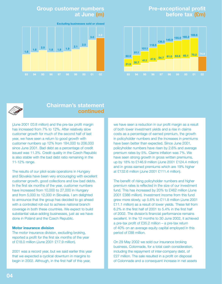## **Pre-exceptional profit before tax (£m)**



## **Group customer numbers at June (m)**

**3.0 Excluding businesses sold or closed 3.2**





## **Chairman's statement continued**

(June 2001 £0.8 million) and the pre-tax profit margin has increased from 7% to 12%. After relatively slow customer growth for much of the second half of last year, we have seen a return to good growth with customer numbers up 12% from 184,000 to 206,000 since June 2001. Bad debt as a percentage of credit issued was 11.3%. Credit quality in the Czech Republic is also stable with the bad debt ratio remaining in the 11-12% range.

The results of our pilot-scale operations in Hungary and Slovakia have been very encouraging with excellent customer growth, good collections and low bad debts. In the first six months of the year, customer numbers have increased from 10,000 to 27,000 in Hungary and from 5,000 to 12,000 in Slovakia. I am delighted to announce that the group has decided to go ahead with a controlled roll-out to achieve national branch coverage in both these countries. We expect to build substantial value-adding businesses, just as we have done in Poland and the Czech Republic.

#### **Motor insurance division**

The motor insurance division, excluding broking, reported a profit for the first six months of the year of £18.0 million (June 2001 £17.9 million).

2001 was a record year, but we said earlier this year that we expected a cyclical downturn in margins to begin in 2002. Although, in the first half of this year,

we have seen a reduction in our profit margin as a result of both lower investment yields and a rise in claims costs as a percentage of earned premium, the growth in policyholder numbers and the increases in premiums have been better than expected. Since June 2001, policyholder numbers have risen by 2.6% and average premium rates by 5%. Claims inflation was 7%. We have seen strong growth in gross written premiums, up by 18% to £146.9 million (June 2001 £124.4 million) and in gross earned premiums which are 19% higher at £132.6 million (June 2001 £111.4 million).

The benefit of rising policyholder numbers and higher premium rates is reflected in the size of our investment fund. This has increased by 20% to £462 million (June 2001 £386 million). Investment income from this fund grew more slowly, up 5.6% to £11.8 million (June 2001 £11.1 million) as a result of lower yields. These fell from 6.2% in the first half of 2001 to 5.4% in the first half of 2002. The division's financial performance remains excellent. In the 12 months to 30 June 2002, it achieved a pre-tax profit of £35.2 million – a pre-tax return of 40% on an average equity capital employed in this period of £88 million.

On 29 May 2002 we sold our insurance broking business, Colonnade, for a total cash consideration, including the repayment of inter-company debt, of £27 million. The sale resulted in a profit on disposal of Colonnade and a consequent increase in net assets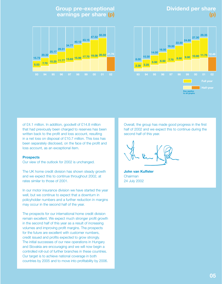## **Dividend per share (p)**

## **Group pre-exceptional earnings per share (p)**





of £4.1 million. In addition, goodwill of £14.8 million that had previously been charged to reserves has been written back to the profit and loss account, resulting in a net loss on disposal of £10.7 million. This loss has been separately disclosed, on the face of the profit and loss account, as an exceptional item.

#### **Prospects**

Our view of the outlook for 2002 is unchanged.

The UK home credit division has shown steady growth and we expect this to continue throughout 2002, at rates similar to those of 2001.

In our motor insurance division we have started the year well, but we continue to expect that a downturn in policyholder numbers and a further reduction in margins may occur in the second half of the year.

The prospects for our international home credit division remain excellent. We expect much stronger profit growth in the second half of this year as a result of increasing volumes and improving profit margins. The prospects for the future are excellent with customer numbers, credit issued and profits expected to grow strongly. The initial successes of our new operations in Hungary and Slovakia are encouraging and we will now begin a controlled roll-out of further branches in these countries. Our target is to achieve national coverage in both countries by 2005 and to move into profitability by 2006.

Overall, the group has made good progress in the first half of 2002 and we expect this to continue during the second half of this year.

**John van Kuffeler** Chairman 24 July 2002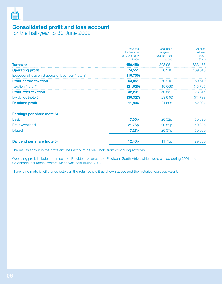

## **Consolidated profit and loss account**

for the half-year to 30 June 2002

|                                                   | <b>Unaudited</b>             | Unaudited                    | Audited            |
|---------------------------------------------------|------------------------------|------------------------------|--------------------|
|                                                   | Half-year to<br>30 June 2002 | Half-year to<br>30 June 2001 | Full year<br>2001  |
|                                                   | £'000                        | £'000                        | £'000              |
| <b>Turnover</b>                                   | 450,450                      | 398,951                      | 833,178            |
| <b>Operating profit</b>                           | 74,551                       | 70,210                       | 169,610            |
| Exceptional loss on disposal of business (note 3) | (10, 700)                    |                              |                    |
| <b>Profit before taxation</b>                     | 63,851                       | 70,210                       | 169,610            |
| Taxation (note 4)                                 | (21, 620)                    | (19,659)                     | (45, 795)          |
| <b>Profit after taxation</b>                      | 42,231                       | 50,551                       | 123,815            |
| Dividends (note 5)                                | (30, 327)                    | (28, 946)                    | (71, 788)          |
| <b>Retained profit</b>                            | 11,904                       | 21,605                       | 52,027             |
| Earnings per share (note 6)                       |                              |                              |                    |
| <b>Basic</b>                                      | 17.36p                       | 20.52 <sub>p</sub>           | 50.39 <sub>p</sub> |
| Pre-exceptional                                   | 21.76p                       | 20.52 <sub>p</sub>           | 50.39p             |
| <b>Diluted</b>                                    | 17.27p                       | 20.37p                       | 50.08p             |
| Dividend per share (note 5)                       | 12.46p                       | 11.75p                       | 29.35 <sub>p</sub> |

The results shown in the profit and loss account derive wholly from continuing activities.

Operating profit includes the results of Provident balance and Provident South Africa which were closed during 2001 and Colonnade Insurance Brokers which was sold during 2002.

There is no material difference between the retained profit as shown above and the historical cost equivalent.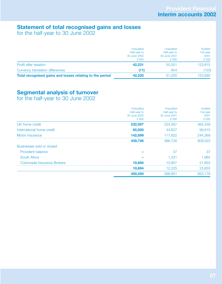## **Statement of total recognised gains and losses**

for the half-year to 30 June 2002

|                                                          | Unaudited    | <b>Unaudited</b> | Audited   |
|----------------------------------------------------------|--------------|------------------|-----------|
|                                                          | Half-year to | Half-year to     | Full year |
|                                                          | 30 June 2002 | 30 June 2001     | 2001      |
|                                                          | £'000        | £'000            | £'000     |
| <b>Profit after taxation</b>                             | 42.231       | 50,551           | 123,815   |
| Currency translation differences                         | (11)         | 654              | (120)     |
| Total recognised gains and losses relating to the period | 42.220       | 51,205           | 123.695   |

## **Segmental analysis of turnover**

for the half-year to 30 June 2002

|                             | Unaudited<br>Half-year to<br>30 June 2002<br>£'000 | Unaudited<br>Half-year to<br>30 June 2001<br>£'000 | <b>Audited</b><br>Full year<br>2001<br>£'000 |
|-----------------------------|----------------------------------------------------|----------------------------------------------------|----------------------------------------------|
| UK home credit              | 232,007                                            | 224,267                                            | 465,539                                      |
| International home credit   | 65,050                                             | 44,837                                             | 99,615                                       |
| Motor insurance             | 142.699                                            | 117.622                                            | 244,369                                      |
|                             | 439.756                                            | 386,726                                            | 809,523                                      |
| Businesses sold or closed   |                                                    |                                                    |                                              |
| <b>Provident balance</b>    |                                                    | 37                                                 | 37                                           |
| <b>South Africa</b>         |                                                    | 1.331                                              | .964                                         |
| Colonnade Insurance Brokers | 10.694                                             | 10.857                                             | 21.654                                       |
|                             | 10,694                                             | 12,225                                             | 23,655                                       |
|                             | 450,450                                            | 398,951                                            | 833.178                                      |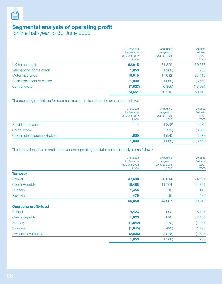

## **Segmental analysis of operating profit**

for the half-year to 30 June 2002

|                           | <b>Unaudited</b><br>Half-year to<br>30 June 2002<br>£'000 | <b>Unaudited</b><br>Half-year to<br>30 June 2001<br>£'000 | Audited<br>Full year<br>2001<br>£'000 |
|---------------------------|-----------------------------------------------------------|-----------------------------------------------------------|---------------------------------------|
| UK home credit            | 62,015                                                    | 61,329                                                    | 150,376                               |
| International home credit | 1,053                                                     | (1,568)                                                   | 758                                   |
| Motor insurance           | 18,010                                                    | 17,912                                                    | 35,119                                |
| Businesses sold or closed | 1,000                                                     | (1,068)                                                   | (3, 562)                              |
| Central costs             | (7,527)                                                   | (6, 395)                                                  | (13,081)                              |
|                           | 74,551                                                    | 70,210                                                    | 169,610                               |

The operating profit/(loss) for businesses sold or closed can be analysed as follows:

|                             | <b>Unaudited</b><br>Half-year to<br>30 June 2002<br>£'000 | <b>Unaudited</b><br>Half-year to<br>30 June 2001<br>£'000 | Audited<br>Full year<br>2001<br>£'000 |
|-----------------------------|-----------------------------------------------------------|-----------------------------------------------------------|---------------------------------------|
| <b>Provident balance</b>    | $\overline{\phantom{a}}$                                  | (1,828)                                                   | (1, 432)                              |
| <b>South Africa</b>         | ۰                                                         | (779)                                                     | (3,608)                               |
| Colonnade Insurance Brokers | 1,000                                                     | 1,539                                                     | 1,478                                 |
|                             | 1,000                                                     | (1,068)                                                   | (3, 562)                              |

The international home credit turnover and operating profit/(loss) can be analysed as follows:

|                                | <b>Unaudited</b><br>Half-year to | <b>Unaudited</b><br>Half-year to | Audited<br>Full year |
|--------------------------------|----------------------------------|----------------------------------|----------------------|
|                                | 30 June 2002<br>£'000            | 30 June 2001<br>£'000            | 2001<br>£'000        |
| <b>Turnover</b>                |                                  |                                  |                      |
| Poland                         | 47,630                           | 33,014                           | 74,131               |
| <b>Czech Republic</b>          | 15,488                           | 11,794                           | 24,851               |
| Hungary                        | 1,456                            | 13                               | 448                  |
| Slovakia                       | 476                              | 16                               | 185                  |
|                                | 65,050                           | 44,837                           | 99,615               |
| <b>Operating profit/(loss)</b> |                                  |                                  |                      |
| Poland                         | 4,423                            | 900                              | 6,746                |
| <b>Czech Republic</b>          | 1,923                            | 820                              | 2,455                |
| Hungary                        | (1,642)                          | (770)                            | (2, 257)             |
| Slovakia                       | (1,045)                          | (492)                            | (1, 293)             |
| Divisional overheads           | (2,606)                          | (2,026)                          | (4,893)              |
|                                | 1,053                            | (1,568)                          | 758                  |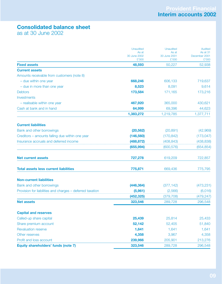## **Consolidated balance sheet**

as at 30 June 2002

|                                                           | <b>Unaudited</b>               | <b>Unaudited</b>               | Audited                            |
|-----------------------------------------------------------|--------------------------------|--------------------------------|------------------------------------|
|                                                           | As at<br>30 June 2002<br>£'000 | As at<br>30 June 2001<br>£'000 | As at 31<br>December 2001<br>£'000 |
| <b>Fixed assets</b>                                       | 48,593                         | 50,227                         | 52,938                             |
| <b>Current assets</b>                                     |                                |                                |                                    |
| Amounts receivable from customers (note 8)                |                                |                                |                                    |
| - due within one year                                     | 668,246                        | 606,133                        | 719,637                            |
| - due in more than one year                               | 8,523                          | 8,091                          | 9,614                              |
| <b>Debtors</b>                                            | 173,584                        | 171,165                        | 173,216                            |
| Investments                                               |                                |                                |                                    |
| - realisable within one year                              | 467,920                        | 365,000                        | 430,621                            |
| Cash at bank and in hand                                  | 64,999                         | 69,396                         | 44,623                             |
|                                                           | 1,383,272                      | 1,219,785                      | 1,377,711                          |
| <b>Current liabilities</b>                                |                                |                                |                                    |
| Bank and other borrowings                                 | (20, 562)                      | (20, 891)                      | (42,969)                           |
| Creditors - amounts falling due within one year           | (146, 560)                     | (170, 842)                     | (173, 047)                         |
| Insurance accruals and deferred income                    | (488, 872)                     | (408, 843)                     | (438, 838)                         |
|                                                           | (655, 994)                     | (600, 576)                     | (654, 854)                         |
| <b>Net current assets</b>                                 | 727,278                        | 619,209                        | 722,857                            |
| <b>Total assets less current liabilities</b>              | 775,871                        | 669,436                        | 775,795                            |
| <b>Non-current liabilities</b>                            |                                |                                |                                    |
| Bank and other borrowings                                 | (446, 364)                     | (377, 142)                     | (473, 231)                         |
| Provision for liabilities and charges - deferred taxation | (5,961)                        | (2,566)                        | (6,016)                            |
|                                                           | (452, 325)                     | (379, 708)                     | (479, 247)                         |
| <b>Net assets</b>                                         | 323,546                        | 289,728                        | 296,548                            |
| <b>Capital and reserves</b>                               |                                |                                |                                    |
| Called-up share capital                                   | 25,439                         | 25,814                         | 25,433                             |
| Share premium account                                     | 52,142                         | 52,405                         | 51,840                             |
| <b>Revaluation reserve</b>                                | 1,641                          | 1,641                          | 1,641                              |
| Other reserves                                            | 4,358                          | 3,967                          | 4,358                              |
| Profit and loss account                                   | 239,966                        | 205,901                        | 213,276                            |
| Equity shareholders' funds (note 7)                       | 323,546                        | 289,728                        | 296,548                            |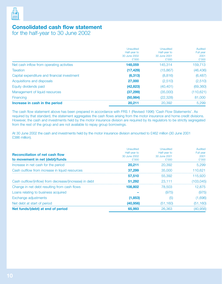

## **Consolidated cash flow statement**

for the half-year to 30 June 2002

|                                              | Unaudited<br>Half-year to<br>30 June 2002 | Unaudited<br>Half-year to<br>30 June 2001 | Audited<br>Full year<br>2001 |
|----------------------------------------------|-------------------------------------------|-------------------------------------------|------------------------------|
|                                              | £'000                                     | £'000                                     | £'000                        |
| Net cash inflow from operating activities    | 148,059                                   | 145,314                                   | 159,713                      |
| <b>Taxation</b>                              | (17, 429)                                 | (15, 867)                                 | (46, 436)                    |
| Capital expenditure and financial investment | (6, 313)                                  | (8,816)                                   | (6, 487)                     |
| Acquisitions and disposals                   | 27,000                                    | (2,510)                                   | (2,510)                      |
| Equity dividends paid                        | (42, 823)                                 | (40, 401)                                 | (69, 360)                    |
| Management of liquid resources               | (37, 299)                                 | (35,000)                                  | (110, 621)                   |
| Financing                                    | (50.984)                                  | (22,328)                                  | 81,000                       |
| Increase in cash in the period               | 20,211                                    | 20,392                                    | 5.299                        |

The cash flow statement above has been prepared in accordance with FRS 1 (Revised 1996) 'Cash Flow Statements'. As required by that standard, the statement aggregates the cash flows arising from the motor insurance and home credit divisions. However, the cash and investments held by the motor insurance division are required by its regulators to be strictly segregated from the rest of the group and are not available to repay group borrowings.

At 30 June 2002 the cash and investments held by the motor insurance division amounted to £462 million (30 June 2001 £386 million).

| <b>Reconciliation of net cash flow</b><br>to movement in net (debt)/funds | Unaudited<br>Half-year to<br>30 June 2002<br>£'000 | Unaudited<br>Half-year to<br>30 June 2001<br>£'000 | Audited<br>Full year<br>2001<br>£'000 |
|---------------------------------------------------------------------------|----------------------------------------------------|----------------------------------------------------|---------------------------------------|
| Increase in net cash for the period                                       | 20,211                                             | 20,392                                             | 5.299                                 |
| Cash outflow from increase in liquid resources                            | 37.299                                             | 35,000                                             | 110.621                               |
|                                                                           | 57,510                                             | 55.392                                             | 115,920                               |
| Cash outflow/(inflow) from decrease/(increase) in debt                    | 51.292                                             | 23,111                                             | 103.045)                              |
| Change in net debt resulting from cash flows                              | 108,802                                            | 78,503                                             | 12.875                                |
| Loans relating to business acquired                                       |                                                    | (975)                                              | (975)                                 |
| Exchange adjustments                                                      | (1,853)                                            | (၁                                                 | (1,696)                               |
| Net debt at start of period                                               | (40, 956)                                          | (51.160)                                           | (51, 160)                             |
| Net funds/(debt) at end of period                                         | 65,993                                             | 26,363                                             | (40, 956)                             |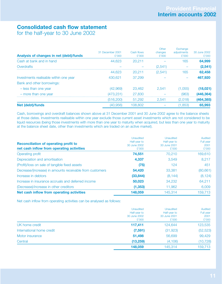## **Consolidated cash flow statement**

for the half-year to 30 June 2002

| Analysis of changes in net (debt)/funds | 31 December 2001<br>£'000 | Cash flows<br>£'000 | Other<br>changes<br>£'000 | Exchange<br>adjustments<br>£'000 | 30 June 2002<br>£'000 |
|-----------------------------------------|---------------------------|---------------------|---------------------------|----------------------------------|-----------------------|
| Cash at bank and in hand                | 44.623                    | 20,211              |                           | 165                              | 64,999                |
| Overdrafts                              |                           |                     | (2.541)                   |                                  | (2,541)               |
|                                         | 44.623                    | 20,211              | (2.541)                   | 165                              | 62,458                |
| Investments realisable within one year  | 430.621                   | 37.299              |                           |                                  | 467,920               |
| Bank and other borrowings:              |                           |                     |                           |                                  |                       |
| - less than one year                    | (42,969)                  | 23,462              | 2.541                     | 1.055)                           | (18,021)              |
| - more than one year                    | (473.231                  | 27,830              |                           | (963)                            | (446, 364)            |
|                                         | (516.200)                 | 51.292              | 2.541                     | (2.018)                          | (464,385)             |
| <b>Net (debt)/funds</b>                 |                           | 108.802             |                           | ,853                             | 65,993                |

Cash, borrowings and overdraft balances shown above at 31 December 2001 and 30 June 2002 agree to the balance sheets at those dates. Investments realisable within one year exclude those current asset investments which are not considered to be liquid resources (being those investments with more than one year to maturity when acquired, but less than one year to maturity at the balance sheet date, other than investments which are traded on an active market).

| <b>Reconciliation of operating profit to</b><br>net cash inflow from operating activities | <b>Unaudited</b><br>Half-year to<br>30 June 2002<br>£'000 | Unaudited<br>Half-year to<br>30 June 2001<br>£'000 | Audited<br>Full year<br>2001<br>£'000 |
|-------------------------------------------------------------------------------------------|-----------------------------------------------------------|----------------------------------------------------|---------------------------------------|
| Operating profit                                                                          | 74.551                                                    | 70,210                                             | 169,610                               |
| Depreciation and amortisation                                                             | 4,337                                                     | 3.549                                              | 8,217                                 |
| (Profit)/loss on sale of tangible fixed assets                                            | (75)                                                      | 124                                                | 451                                   |
| Decrease/(increase) in amounts receivable from customers                                  | 54,420                                                    | 33,381                                             | (80, 661)                             |
| Increase in debtors                                                                       | (33, 844)                                                 | (8, 144)                                           | (8, 124)                              |
| Increase in insurance accruals and deferred income                                        | 50,023                                                    | 34,232                                             | 64,211                                |
| (Decrease)/increase in other creditors                                                    | (1, 353)                                                  | 11,962                                             | 6,009                                 |
| Net cash inflow from operating activities                                                 | 148,059                                                   | 145,314                                            | 159.713                               |

Net cash inflow from operating activities can be analysed as follows:

|                           | <b>Unaudited</b><br>Half-year to<br>30 June 2002 | Unaudited<br>Half-year to<br>30 June 2001 | Audited<br>Full year<br>2001 |
|---------------------------|--------------------------------------------------|-------------------------------------------|------------------------------|
|                           | £'000                                            | £'000                                     | £'000                        |
| UK home credit            | 117,411                                          | 124,644                                   | 123,535                      |
| International home credit | (7,591)                                          | (31, 923)                                 | (52, 523)                    |
| Motor insurance           | 51,498                                           | 56,699                                    | 99,429                       |
| Central                   | (13,259)                                         | (4, 106)                                  | (10, 728)                    |
|                           | 148,059                                          | 145,314                                   | 159,713                      |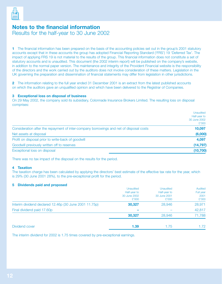

## **Notes to the financial information**

Results for the half-year to 30 June 2002

**1** The financial information has been prepared on the basis of the accounting policies set out in the group's 2001 statutory accounts except that in these accounts the group has adopted Financial Reporting Standard ('FRS') 19 'Deferred Tax'. The impact of applying FRS 19 is not material to the results of the group. This financial information does not constitute a set of statutory accounts and is unaudited. This document (the 2002 interim report) will be published on the company's website, in addition to the normal paper version. The maintenance and integrity of the Provident Financial website is the responsibility of the directors and the work carried out by the auditors does not involve consideration of these matters. Legislation in the UK governing the preparation and dissemination of financial statements may differ from legislation in other jurisdictions.

**2** The information relating to the full year ended 31 December 2001 is an extract from the latest published accounts on which the auditors gave an unqualified opinion and which have been delivered to the Registrar of Companies.

#### **3 Exceptional loss on disposal of business**

On 29 May 2002, the company sold its subsidiary, Colonnade Insurance Brokers Limited. The resulting loss on disposal comprises:

|                                                                                         | Unaudited<br>Half-year to<br>30 June 2002<br>£'000 |
|-----------------------------------------------------------------------------------------|----------------------------------------------------|
| Consideration after the repayment of inter-company borrowings and net of disposal costs | 10,097                                             |
| Net assets at disposal                                                                  | (6,000)                                            |
| Profit on disposal prior to write-back of goodwill                                      | 4,097                                              |
| Goodwill previously written off to reserves                                             | (14, 797)                                          |
| Exceptional loss on disposal                                                            | (10, 700)                                          |

There was no tax impact of the disposal on the results for the period.

#### **4 Taxation**

The taxation charge has been calculated by applying the directors' best estimate of the effective tax rate for the year, which is 29% (30 June 2001 28%), to the pre-exceptional profit for the period.

#### **5 Dividends paid and proposed**

|                                                        | <b>Unaudited</b> | <b>Unaudited</b> | Audited   |
|--------------------------------------------------------|------------------|------------------|-----------|
|                                                        | Half-year to     | Half-year to     | Full year |
|                                                        | 30 June 2002     | 30 June 2001     | 2001      |
|                                                        | £'000            | £'000            | £'000     |
| Interim dividend declared 12.46p (30 June 2001 11.75p) | 30,327           | 28,946           | 28,971    |
| Final dividend paid 17.60p                             |                  |                  | 42,817    |
|                                                        | 30,327           | 28,946           | 71,788    |
| Dividend cover                                         | 1.39             | 1.75             | 1.72      |

The interim dividend for 2002 is 1.75 times covered by pre-exceptional earnings.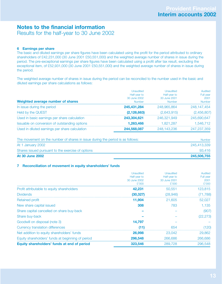### **Notes to the financial information**  Results for the half-year to 30 June 2002

#### **6 Earnings per share**

The basic and diluted earnings per share figures have been calculated using the profit for the period attributed to ordinary shareholders of £42,231,000 (30 June 2001 £50,551,000) and the weighted average number of shares in issue during the period. The pre-exceptional earnings per share figures have been calculated using a profit after tax result, excluding the exceptional item, of £52,931,000 (30 June 2001 £50,551,000) and the weighted average number of shares in issue during the period.

The weighted average number of shares in issue during the period can be reconciled to the number used in the basic and diluted earnings per share calculations as follows:

| Weighted average number of shares              | Unaudited<br>Half-year to<br>30 June 2002<br>Number | Unaudited<br>Half-year to<br>30 June 2001<br>Number | Audited<br>Full year<br>2001<br><b>Number</b> |
|------------------------------------------------|-----------------------------------------------------|-----------------------------------------------------|-----------------------------------------------|
| In issue during the period                     | 245, 431, 284                                       | 248,965,864                                         | 248,147,454                                   |
| Held by the QUEST                              | (2, 126, 663)                                       | (2,643,915)                                         | (2,456,807)                                   |
| Used in basic earnings per share calculation   | 243,304,621                                         | 246,321,949                                         | 245,690,647                                   |
| Issuable on conversion of outstanding options  | 1,263,466                                           | 1.821,287                                           | 1.546.712                                     |
| Used in diluted earnings per share calculation | 244,568,087                                         | 248,143,236                                         | 247,237,359                                   |

| <b>At 30 June 2002</b>                                                         | 245,506,755 |
|--------------------------------------------------------------------------------|-------------|
| Shares issued pursuant to the exercise of options                              | 93.416      |
| At 1 January 2002                                                              | 245,413,339 |
| The movement on the number of shares in issue during the period is as follows: | Number      |
|                                                                                |             |

#### **7 Reconciliation of movement in equity shareholders' funds**

|                                                   | Unaudited    | Unaudited<br>Half-year to | Audited<br>Full year<br>2001 |
|---------------------------------------------------|--------------|---------------------------|------------------------------|
|                                                   | Half-year to |                           |                              |
|                                                   | 30 June 2002 | 30 June 2001              |                              |
|                                                   | £'000        | £'000                     | £'000                        |
| Profit attributable to equity shareholders        | 42,231       | 50,551                    | 123,815                      |
| <b>Dividends</b>                                  | (30, 327)    | (28, 946)                 | (71, 788)                    |
| Retained profit                                   | 11,904       | 21,605                    | 52,027                       |
| New share capital issued                          | 308          | 783                       | 1.135                        |
| Share capital cancelled on share buy-back         |              |                           | (907)                        |
| Share buy-back                                    |              |                           | (22, 273)                    |
| Goodwill on disposal (note 3)                     | 14,797       |                           |                              |
| <b>Currency translation differences</b>           | (11)         | 654                       | (120)                        |
| Net addition to equity shareholders' funds        | 26,998       | 23.042                    | 29,862                       |
| Equity shareholders' funds at beginning of period | 296,548      | 266,686                   | 266,686                      |
| Equity shareholders' funds at end of period       | 323,546      | 289,728                   | 296,548                      |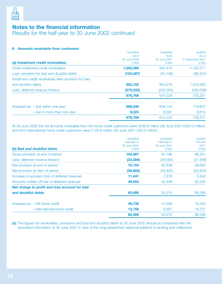

## **Notes to the financial information**  Results for the half-year to 30 June 2002 continued

#### **8 Amounts receivable from customers**

|                                                       | Unaudited    | Unaudited    | Audited          |
|-------------------------------------------------------|--------------|--------------|------------------|
|                                                       | As at        | As at        | As at            |
|                                                       | 30 June 2002 | 30 June 2001 | 31 December 2001 |
| (a) Instalment credit receivables                     | £'000        | £'000        | £'000            |
| Gross instalment credit receivables                   | 1,055,589    | 945,475      | 1,105,511        |
| Less: provision for bad and doubtful debts            | (103, 487)   | (91, 196)    | (86, 251)        |
| Instalment credit receivables after provision for bad |              |              |                  |
| and doubtful debts                                    | 952,102      | 854,279      | 1,019,260        |
| Less: deferred revenue thereon                        | (275, 333)   | (240, 055)   | (290,009)        |
|                                                       | 676,769      | 614.224      | 729,251          |
| Analysed as: - due within one year                    | 668,246      | 606.133      | 719,637          |
| - due in more than one year                           | 8,523        | 8.091        | 9,614            |
|                                                       | 676,769      | 614.224      | 729.251          |

At 30 June 2002 the net amounts receivable from UK home credit customers were £549.9 million (30 June 2001 £520.3 million) and from international home credit customers were £126.9 million (30 June 2001 £93.9 million).

|                                                 | Unaudited             | Unaudited             | Audited       |
|-------------------------------------------------|-----------------------|-----------------------|---------------|
|                                                 | Half-year to          | Half-year to          | Full year     |
| (b) Bad and doubtful debts                      | 30 June 2002<br>£'000 | 30 June 2001<br>£'000 | 2001<br>£'000 |
|                                                 |                       |                       |               |
| Gross provision at end of period                | 103,487               | 91.196                | 86,251        |
| Less: deferred revenue thereon                  | (33, 384)             | (28, 560)             | (27, 589)     |
| Net provision at end of period                  | 70.103                | 62,636                | 58,662        |
| Net provision at start of period                | (58, 662)             | (54, 820)             | (54, 820)     |
| Increase in provision (net of deferred revenue) | 11,441                | 7,816                 | 3.842         |
| Amounts written off (net of deferred revenue)   | 49,054                | 42,499                | 92,204        |
| Net charge to profit and loss account for bad   |                       |                       |               |
| and doubtful debts                              | 60,495                | 50,315                | 96,046        |
| Analysed as: - UK home credit                   | 46,739                | 41,008                | 76,345        |
| - International home credit                     | 13,756                | 9,307                 | 19,701        |
|                                                 | 60,495                | 50,315                | 96,046        |

**(c)** The figures for receivables, provisions and bad and doubtful debts at 30 June 2002 should be compared with the equivalent information at 30 June 2001 in view of the long established seasonal patterns in lending and collections.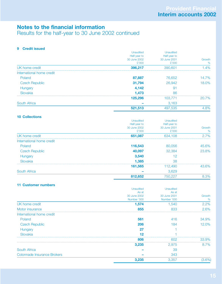## **Notes to the financial information**

Results for the half-year to 30 June 2002 continued

#### **9 Credit issued**

|                           | Unaudited             | Unaudited             |             |
|---------------------------|-----------------------|-----------------------|-------------|
|                           | Half-year to          | Half-year to          |             |
|                           | 30 June 2002<br>£'000 | 30 June 2001<br>£'000 | Growth<br>% |
| UK home credit            | 396,217               | 390,601               | $.4\%$      |
| International home credit |                       |                       |             |
| Poland                    | 87,887                | 76,652                | 14.7%       |
| <b>Czech Republic</b>     | 31,794                | 26,942                | 18.0%       |
| Hungary                   | 4,142                 | д.                    |             |
| Slovakia                  | 1.473                 | 86                    |             |
|                           | 125.296               | 103.771               | $20.7\%$    |
| <b>South Africa</b>       |                       | 3,163                 |             |
|                           | 521,513               | 497.535               | 4.8%        |

#### **10 Collections**

|                           | Unaudited    | Unaudited    |        |
|---------------------------|--------------|--------------|--------|
|                           | Half-year to | Half-year to |        |
|                           | 30 June 2002 | 30 June 2001 | Growth |
|                           | £'000        | £'000        | %      |
| UK home credit            | 651,087      | 634.108      | 2.7%   |
| International home credit |              |              |        |
| Poland                    | 116,543      | 80,056       | 45.6%  |
| <b>Czech Republic</b>     | 40,097       | 32,384       | 23.8%  |
| Hungary                   | 3,540        |              |        |
| Slovakia                  | 1,385        | 38           |        |
|                           | 161,565      | 112,490      | 43.6%  |
| <b>South Africa</b>       |              | 3,629        |        |
|                           | 812,652      | 750,227      | 8.3%   |

#### **11 Customer numbers**

|                                    | <b>Unaudited</b> | Unaudited    |         |
|------------------------------------|------------------|--------------|---------|
|                                    | As at            | As at        |         |
|                                    | 30 June 2002     | 30 June 2001 | Growth  |
|                                    | Number '000      | Number '000  | %       |
| UK home credit                     | 1,574            | 1.540        | $2.2\%$ |
| Motor insurance                    | 855              | 833          | 2.6%    |
| International home credit          |                  |              |         |
| Poland                             | 561              | 416          | 34.9%   |
| <b>Czech Republic</b>              | 206              | 184          | 12.0%   |
| Hungary                            |                  |              |         |
| Slovakia                           |                  |              |         |
|                                    | 806              |              | 33.9%   |
|                                    | 3.235            | 2.975        | 8.7%    |
| South Africa                       |                  | 39           |         |
| <b>Colonnade Insurance Brokers</b> |                  | 343          |         |
|                                    | 3,235            | 3.357        | .6%     |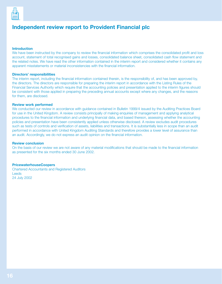

## **Independent review report to Provident Financial plc**

#### **Introduction**

We have been instructed by the company to review the financial information which comprises the consolidated profit and loss account, statement of total recognised gains and losses, consolidated balance sheet, consolidated cash flow statement and the related notes. We have read the other information contained in the interim report and considered whether it contains any apparent misstatements or material inconsistencies with the financial information.

#### **Directors' responsibilities**

The interim report, including the financial information contained therein, is the responsibility of, and has been approved by, the directors. The directors are responsible for preparing the interim report in accordance with the Listing Rules of the Financial Services Authority which require that the accounting policies and presentation applied to the interim figures should be consistent with those applied in preparing the preceding annual accounts except where any changes, and the reasons for them, are disclosed.

#### **Review work performed**

We conducted our review in accordance with guidance contained in Bulletin 1999/4 issued by the Auditing Practices Board for use in the United Kingdom. A review consists principally of making enquiries of management and applying analytical procedures to the financial information and underlying financial data, and based thereon, assessing whether the accounting policies and presentation have been consistently applied unless otherwise disclosed. A review excludes audit procedures such as tests of controls and verification of assets, liabilities and transactions. It is substantially less in scope than an audit performed in accordance with United Kingdom Auditing Standards and therefore provides a lower level of assurance than an audit. Accordingly, we do not express an audit opinion on the financial information.

#### **Review conclusion**

On the basis of our review we are not aware of any material modifications that should be made to the financial information as presented for the six months ended 30 June 2002.

#### **PricewaterhouseCoopers**

Chartered Accountants and Registered Auditors Leeds 24 July 2002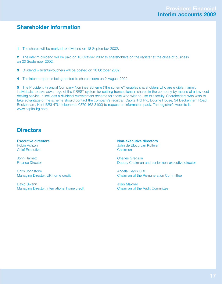## **Shareholder information**

**1** The shares will be marked ex-dividend on 18 September 2002.

**2** The interim dividend will be paid on 18 October 2002 to shareholders on the register at the close of business on 20 September 2002.

- **3** Dividend warrants/vouchers will be posted on 16 October 2002.
- **4** The interim report is being posted to shareholders on 2 August 2002.

**5** The Provident Financial Company Nominee Scheme ("the scheme") enables shareholders who are eligible, namely individuals, to take advantage of the CREST system for settling transactions in shares in the company by means of a low-cost dealing service. It includes a dividend reinvestment scheme for those who wish to use this facility. Shareholders who wish to take advantage of the scheme should contact the company's registrar, Capita IRG Plc, Bourne House, 34 Beckenham Road, Beckenham, Kent BR3 4TU (telephone: 0870 162 3100) to request an information pack. The registrar's website is www.capita-irg.com.

## **Directors**

**Executive directors** Robin Ashton Chief Executive

John Harnett Finance Director

Chris Johnstone Managing Director, UK home credit

David Swann Managing Director, international home credit **Non-executive directors** John de Blocq van Kuffeler Chairman

Charles Gregson Deputy Chairman and senior non-executive director

Angela Heylin OBE Chairman of the Remuneration Committee

John Maxwell Chairman of the Audit Committee